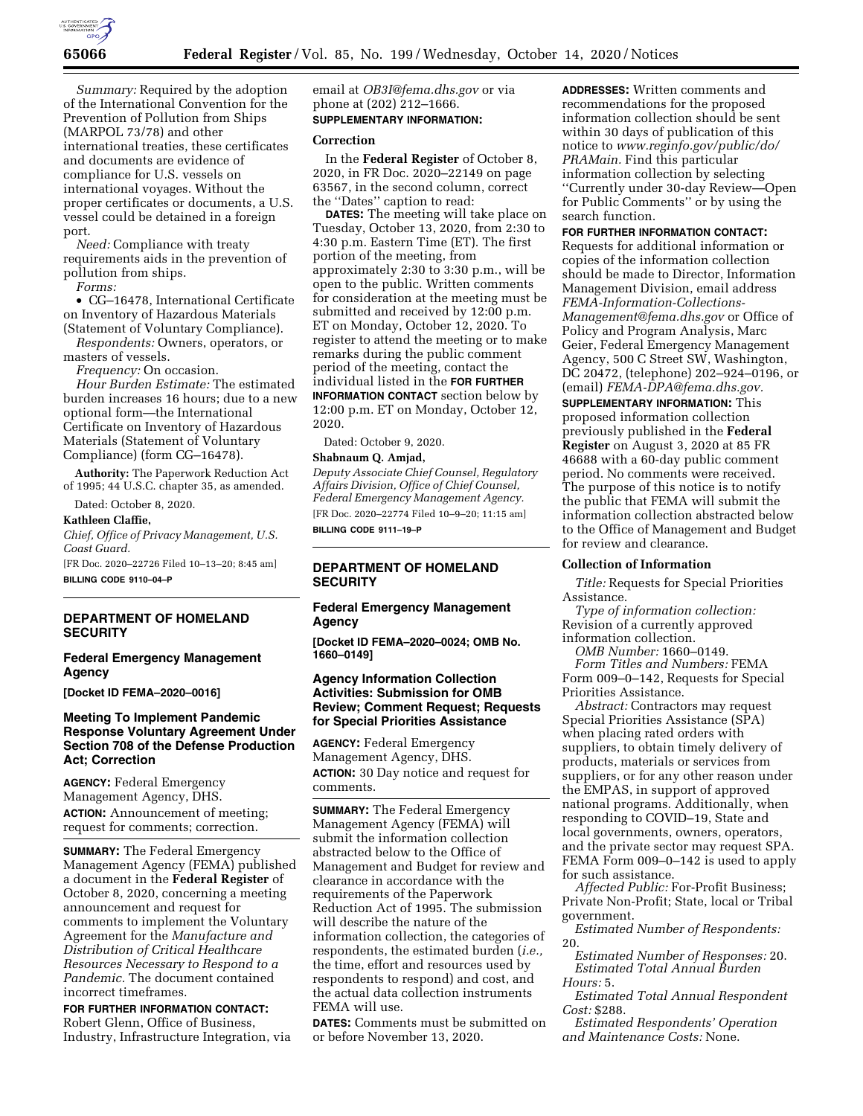

*Summary:* Required by the adoption of the International Convention for the Prevention of Pollution from Ships (MARPOL 73/78) and other international treaties, these certificates and documents are evidence of compliance for U.S. vessels on international voyages. Without the proper certificates or documents, a U.S. vessel could be detained in a foreign port.

*Need:* Compliance with treaty requirements aids in the prevention of pollution from ships.

*Forms:* 

• CG–16478, International Certificate on Inventory of Hazardous Materials (Statement of Voluntary Compliance).

*Respondents:* Owners, operators, or masters of vessels.

*Frequency:* On occasion.

*Hour Burden Estimate:* The estimated burden increases 16 hours; due to a new optional form—the International Certificate on Inventory of Hazardous Materials (Statement of Voluntary Compliance) (form CG–16478).

**Authority:** The Paperwork Reduction Act of 1995; 44 U.S.C. chapter 35, as amended.

Dated: October 8, 2020.

### **Kathleen Claffie,**

*Chief, Office of Privacy Management, U.S. Coast Guard.* 

[FR Doc. 2020–22726 Filed 10–13–20; 8:45 am] **BILLING CODE 9110–04–P** 

# **DEPARTMENT OF HOMELAND SECURITY**

### **Federal Emergency Management Agency**

**[Docket ID FEMA–2020–0016]** 

# **Meeting To Implement Pandemic Response Voluntary Agreement Under Section 708 of the Defense Production Act; Correction**

**AGENCY:** Federal Emergency Management Agency, DHS. **ACTION:** Announcement of meeting; request for comments; correction.

**SUMMARY:** The Federal Emergency Management Agency (FEMA) published a document in the **Federal Register** of October 8, 2020, concerning a meeting announcement and request for comments to implement the Voluntary Agreement for the *Manufacture and Distribution of Critical Healthcare Resources Necessary to Respond to a Pandemic.* The document contained incorrect timeframes.

**FOR FURTHER INFORMATION CONTACT:**  Robert Glenn, Office of Business, Industry, Infrastructure Integration, via email at *[OB3I@fema.dhs.gov](mailto:OB3I@fema.dhs.gov)* or via phone at (202) 212–1666. **SUPPLEMENTARY INFORMATION:** 

#### **Correction**

In the **Federal Register** of October 8, 2020, in FR Doc. 2020–22149 on page 63567, in the second column, correct the ''Dates'' caption to read:

**DATES:** The meeting will take place on Tuesday, October 13, 2020, from 2:30 to 4:30 p.m. Eastern Time (ET). The first portion of the meeting, from approximately 2:30 to 3:30 p.m., will be open to the public. Written comments for consideration at the meeting must be submitted and received by 12:00 p.m. ET on Monday, October 12, 2020. To register to attend the meeting or to make remarks during the public comment period of the meeting, contact the individual listed in the **FOR FURTHER INFORMATION CONTACT** section below by 12:00 p.m. ET on Monday, October 12, 2020.

Dated: October 9, 2020.

# **Shabnaum Q. Amjad,**

*Deputy Associate Chief Counsel, Regulatory Affairs Division, Office of Chief Counsel, Federal Emergency Management Agency.*  [FR Doc. 2020–22774 Filed 10–9–20; 11:15 am] **BILLING CODE 9111–19–P** 

# **DEPARTMENT OF HOMELAND SECURITY**

### **Federal Emergency Management Agency**

**[Docket ID FEMA–2020–0024; OMB No. 1660–0149]** 

# **Agency Information Collection Activities: Submission for OMB Review; Comment Request; Requests for Special Priorities Assistance**

**AGENCY:** Federal Emergency Management Agency, DHS. **ACTION:** 30 Day notice and request for comments.

**SUMMARY:** The Federal Emergency Management Agency (FEMA) will submit the information collection abstracted below to the Office of Management and Budget for review and clearance in accordance with the requirements of the Paperwork Reduction Act of 1995. The submission will describe the nature of the information collection, the categories of respondents, the estimated burden (*i.e.,*  the time, effort and resources used by respondents to respond) and cost, and the actual data collection instruments FEMA will use.

**DATES:** Comments must be submitted on or before November 13, 2020.

**ADDRESSES:** Written comments and recommendations for the proposed information collection should be sent within 30 days of publication of this notice to *[www.reginfo.gov/public/do/](http://www.reginfo.gov/public/do/PRAMain) [PRAMain.](http://www.reginfo.gov/public/do/PRAMain)* Find this particular information collection by selecting ''Currently under 30-day Review—Open for Public Comments'' or by using the search function.

# **FOR FURTHER INFORMATION CONTACT:**

Requests for additional information or copies of the information collection should be made to Director, Information Management Division, email address *[FEMA-Information-Collections-](mailto:FEMA-Information-Collections-Management@fema.dhs.gov)[Management@fema.dhs.gov](mailto:FEMA-Information-Collections-Management@fema.dhs.gov)* or Office of Policy and Program Analysis, Marc Geier, Federal Emergency Management Agency, 500 C Street SW, Washington, DC 20472, (telephone) 202–924–0196, or (email) *[FEMA-DPA@fema.dhs.gov.](mailto:FEMA-DPA@fema.dhs.gov)* 

**SUPPLEMENTARY INFORMATION:** This proposed information collection previously published in the **Federal Register** on August 3, 2020 at 85 FR 46688 with a 60-day public comment period. No comments were received. The purpose of this notice is to notify the public that FEMA will submit the information collection abstracted below to the Office of Management and Budget for review and clearance.

### **Collection of Information**

*Title:* Requests for Special Priorities Assistance.

*Type of information collection:*  Revision of a currently approved information collection.

*OMB Number:* 1660–0149.

*Form Titles and Numbers:* FEMA Form 009–0–142, Requests for Special Priorities Assistance.

*Abstract:* Contractors may request Special Priorities Assistance (SPA) when placing rated orders with suppliers, to obtain timely delivery of products, materials or services from suppliers, or for any other reason under the EMPAS, in support of approved national programs. Additionally, when responding to COVID–19, State and local governments, owners, operators, and the private sector may request SPA. FEMA Form 009–0–142 is used to apply for such assistance.

*Affected Public:* For-Profit Business; Private Non-Profit; State, local or Tribal government.

*Estimated Number of Respondents:*  20.

*Estimated Number of Responses:* 20. *Estimated Total Annual Burden Hours:* 5.

*Estimated Total Annual Respondent Cost:* \$288.

*Estimated Respondents' Operation and Maintenance Costs:* None.